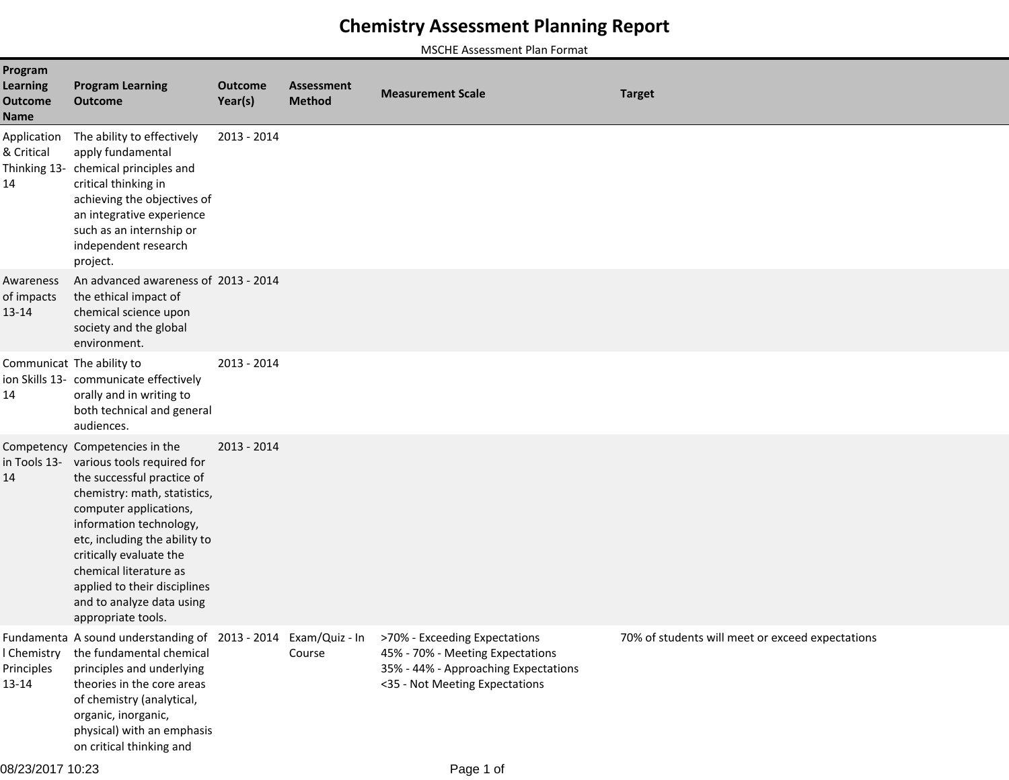## **Chemistry Assessment Planning Report**

MSCHE Assessment Plan Format

| Program<br><b>Learning</b><br><b>Outcome</b><br>Name | <b>Program Learning</b><br><b>Outcome</b>                                                                                                                                                                                                                                                                                                                             | <b>Outcome</b><br>Year(s) | Assessment<br><b>Method</b> | <b>Measurement Scale</b>                                                                                                                    | <b>Target</b>                                    |
|------------------------------------------------------|-----------------------------------------------------------------------------------------------------------------------------------------------------------------------------------------------------------------------------------------------------------------------------------------------------------------------------------------------------------------------|---------------------------|-----------------------------|---------------------------------------------------------------------------------------------------------------------------------------------|--------------------------------------------------|
| Application<br>& Critical<br>14                      | The ability to effectively<br>apply fundamental<br>Thinking 13- chemical principles and<br>critical thinking in<br>achieving the objectives of<br>an integrative experience<br>such as an internship or<br>independent research<br>project.                                                                                                                           | 2013 - 2014               |                             |                                                                                                                                             |                                                  |
| Awareness<br>of impacts<br>13-14                     | An advanced awareness of 2013 - 2014<br>the ethical impact of<br>chemical science upon<br>society and the global<br>environment.                                                                                                                                                                                                                                      |                           |                             |                                                                                                                                             |                                                  |
| 14                                                   | Communicat The ability to<br>ion Skills 13- communicate effectively<br>orally and in writing to<br>both technical and general<br>audiences.                                                                                                                                                                                                                           | 2013 - 2014               |                             |                                                                                                                                             |                                                  |
| 14                                                   | Competency Competencies in the<br>in Tools 13- various tools required for<br>the successful practice of<br>chemistry: math, statistics,<br>computer applications,<br>information technology,<br>etc, including the ability to<br>critically evaluate the<br>chemical literature as<br>applied to their disciplines<br>and to analyze data using<br>appropriate tools. | 2013 - 2014               |                             |                                                                                                                                             |                                                  |
| l Chemistry<br>Principles<br>13-14                   | Fundamenta A sound understanding of 2013 - 2014 Exam/Quiz - In<br>the fundamental chemical<br>principles and underlying<br>theories in the core areas<br>of chemistry (analytical,<br>organic, inorganic,<br>physical) with an emphasis<br>on critical thinking and                                                                                                   |                           | Course                      | >70% - Exceeding Expectations<br>45% - 70% - Meeting Expectations<br>35% - 44% - Approaching Expectations<br><35 - Not Meeting Expectations | 70% of students will meet or exceed expectations |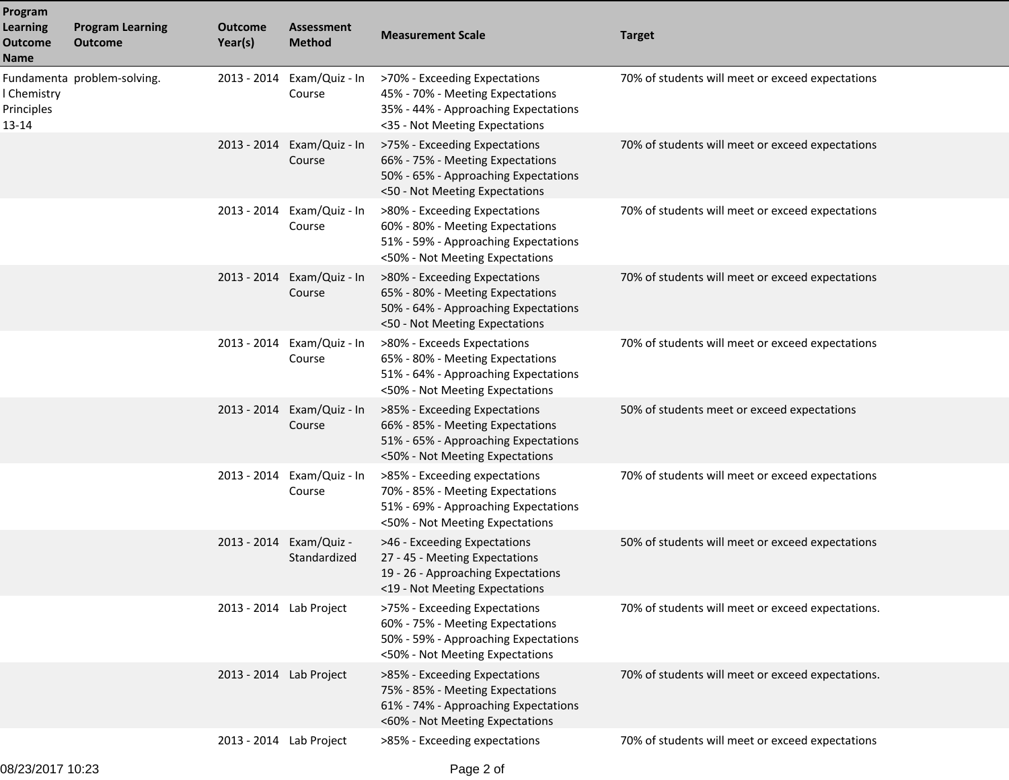| Program<br><b>Learning</b><br><b>Outcome</b><br><b>Name</b> | <b>Program Learning</b><br><b>Outcome</b> | Outcome<br>Year(s)      | <b>Assessment</b><br><b>Method</b>      | <b>Measurement Scale</b>                                                                                                                     | <b>Target</b>                                     |
|-------------------------------------------------------------|-------------------------------------------|-------------------------|-----------------------------------------|----------------------------------------------------------------------------------------------------------------------------------------------|---------------------------------------------------|
| I Chemistry<br>Principles<br>13-14                          | Fundamenta problem-solving.               |                         | 2013 - 2014 Exam/Quiz - In<br>Course    | >70% - Exceeding Expectations<br>45% - 70% - Meeting Expectations<br>35% - 44% - Approaching Expectations<br><35 - Not Meeting Expectations  | 70% of students will meet or exceed expectations  |
|                                                             |                                           | 2013 - 2014             | Exam/Quiz - In<br>Course                | >75% - Exceeding Expectations<br>66% - 75% - Meeting Expectations<br>50% - 65% - Approaching Expectations<br><50 - Not Meeting Expectations  | 70% of students will meet or exceed expectations  |
|                                                             |                                           |                         | 2013 - 2014 Exam/Quiz - In<br>Course    | >80% - Exceeding Expectations<br>60% - 80% - Meeting Expectations<br>51% - 59% - Approaching Expectations<br><50% - Not Meeting Expectations | 70% of students will meet or exceed expectations  |
|                                                             |                                           |                         | 2013 - 2014 Exam/Quiz - In<br>Course    | >80% - Exceeding Expectations<br>65% - 80% - Meeting Expectations<br>50% - 64% - Approaching Expectations<br><50 - Not Meeting Expectations  | 70% of students will meet or exceed expectations  |
|                                                             |                                           |                         | 2013 - 2014 Exam/Quiz - In<br>Course    | >80% - Exceeds Expectations<br>65% - 80% - Meeting Expectations<br>51% - 64% - Approaching Expectations<br><50% - Not Meeting Expectations   | 70% of students will meet or exceed expectations  |
|                                                             |                                           |                         | 2013 - 2014 Exam/Quiz - In<br>Course    | >85% - Exceeding Expectations<br>66% - 85% - Meeting Expectations<br>51% - 65% - Approaching Expectations<br><50% - Not Meeting Expectations | 50% of students meet or exceed expectations       |
|                                                             |                                           |                         | 2013 - 2014 Exam/Quiz - In<br>Course    | >85% - Exceeding expectations<br>70% - 85% - Meeting Expectations<br>51% - 69% - Approaching Expectations<br><50% - Not Meeting Expectations | 70% of students will meet or exceed expectations  |
|                                                             |                                           |                         | 2013 - 2014 Exam/Quiz -<br>Standardized | >46 - Exceeding Expectations<br>27 - 45 - Meeting Expectations<br>19 - 26 - Approaching Expectations<br><19 - Not Meeting Expectations       | 50% of students will meet or exceed expectations  |
|                                                             |                                           | 2013 - 2014 Lab Project |                                         | >75% - Exceeding Expectations<br>60% - 75% - Meeting Expectations<br>50% - 59% - Approaching Expectations<br><50% - Not Meeting Expectations | 70% of students will meet or exceed expectations. |
|                                                             |                                           | 2013 - 2014 Lab Project |                                         | >85% - Exceeding Expectations<br>75% - 85% - Meeting Expectations<br>61% - 74% - Approaching Expectations<br><60% - Not Meeting Expectations | 70% of students will meet or exceed expectations. |
|                                                             |                                           | 2013 - 2014 Lab Project |                                         | >85% - Exceeding expectations                                                                                                                | 70% of students will meet or exceed expectations  |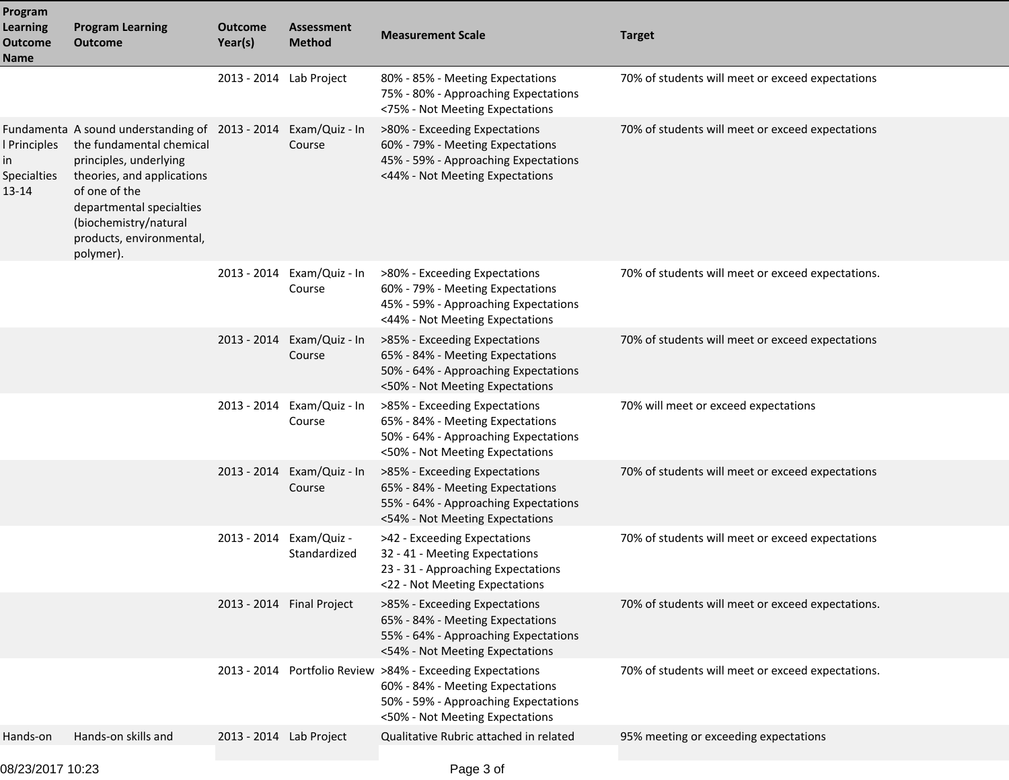| Program<br><b>Learning</b><br><b>Outcome</b><br>Name  | <b>Program Learning</b><br><b>Outcome</b>                                                                                                                                                                                                          | Outcome<br>Year(s)      | <b>Assessment</b><br><b>Method</b>      | <b>Measurement Scale</b>                                                                                                                                                  | <b>Target</b>                                     |
|-------------------------------------------------------|----------------------------------------------------------------------------------------------------------------------------------------------------------------------------------------------------------------------------------------------------|-------------------------|-----------------------------------------|---------------------------------------------------------------------------------------------------------------------------------------------------------------------------|---------------------------------------------------|
|                                                       |                                                                                                                                                                                                                                                    | 2013 - 2014 Lab Project |                                         | 80% - 85% - Meeting Expectations<br>75% - 80% - Approaching Expectations<br><75% - Not Meeting Expectations                                                               | 70% of students will meet or exceed expectations  |
| l Principles<br>in<br><b>Specialties</b><br>$13 - 14$ | Fundamenta A sound understanding of 2013 - 2014<br>the fundamental chemical<br>principles, underlying<br>theories, and applications<br>of one of the<br>departmental specialties<br>(biochemistry/natural<br>products, environmental,<br>polymer). |                         | Exam/Quiz - In<br>Course                | >80% - Exceeding Expectations<br>60% - 79% - Meeting Expectations<br>45% - 59% - Approaching Expectations<br><44% - Not Meeting Expectations                              | 70% of students will meet or exceed expectations  |
|                                                       |                                                                                                                                                                                                                                                    |                         | 2013 - 2014 Exam/Quiz - In<br>Course    | >80% - Exceeding Expectations<br>60% - 79% - Meeting Expectations<br>45% - 59% - Approaching Expectations<br><44% - Not Meeting Expectations                              | 70% of students will meet or exceed expectations. |
|                                                       |                                                                                                                                                                                                                                                    |                         | 2013 - 2014 Exam/Quiz - In<br>Course    | >85% - Exceeding Expectations<br>65% - 84% - Meeting Expectations<br>50% - 64% - Approaching Expectations<br><50% - Not Meeting Expectations                              | 70% of students will meet or exceed expectations  |
|                                                       |                                                                                                                                                                                                                                                    |                         | 2013 - 2014 Exam/Quiz - In<br>Course    | >85% - Exceeding Expectations<br>65% - 84% - Meeting Expectations<br>50% - 64% - Approaching Expectations<br><50% - Not Meeting Expectations                              | 70% will meet or exceed expectations              |
|                                                       |                                                                                                                                                                                                                                                    |                         | 2013 - 2014 Exam/Quiz - In<br>Course    | >85% - Exceeding Expectations<br>65% - 84% - Meeting Expectations<br>55% - 64% - Approaching Expectations<br><54% - Not Meeting Expectations                              | 70% of students will meet or exceed expectations  |
|                                                       |                                                                                                                                                                                                                                                    |                         | 2013 - 2014 Exam/Quiz -<br>Standardized | >42 - Exceeding Expectations<br>32 - 41 - Meeting Expectations<br>23 - 31 - Approaching Expectations<br><22 - Not Meeting Expectations                                    | 70% of students will meet or exceed expectations  |
|                                                       |                                                                                                                                                                                                                                                    |                         | 2013 - 2014 Final Project               | >85% - Exceeding Expectations<br>65% - 84% - Meeting Expectations<br>55% - 64% - Approaching Expectations<br><54% - Not Meeting Expectations                              | 70% of students will meet or exceed expectations. |
|                                                       |                                                                                                                                                                                                                                                    |                         |                                         | 2013 - 2014 Portfolio Review >84% - Exceeding Expectations<br>60% - 84% - Meeting Expectations<br>50% - 59% - Approaching Expectations<br><50% - Not Meeting Expectations | 70% of students will meet or exceed expectations. |
| Hands-on                                              | Hands-on skills and                                                                                                                                                                                                                                | 2013 - 2014 Lab Project |                                         | Qualitative Rubric attached in related                                                                                                                                    | 95% meeting or exceeding expectations             |